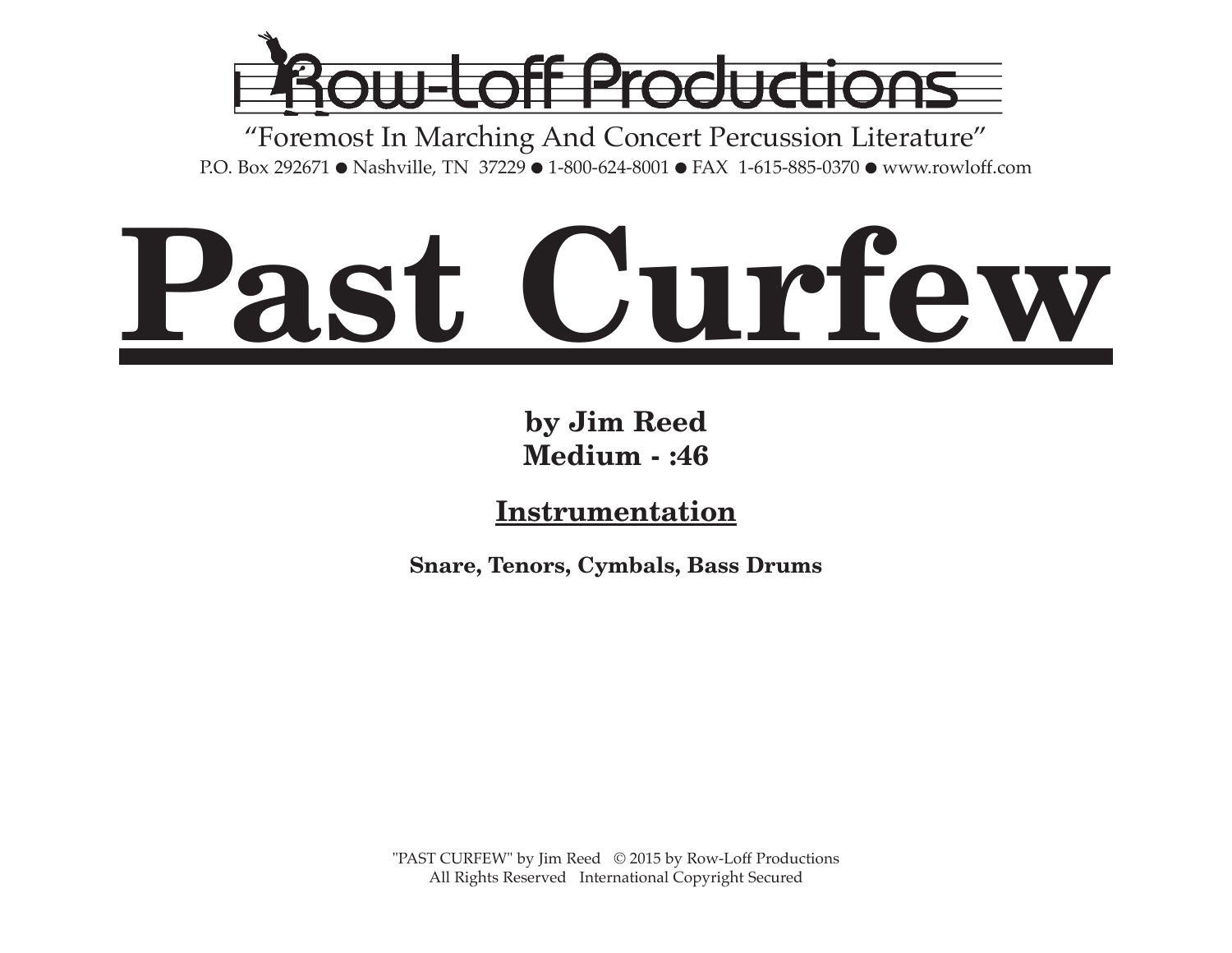

"Foremost In Marching And Concert Percussion Literature" P.O. Box 292671 ● Nashville, TN 37229 ● 1-800-624-8001 ● FAX 1-615-885-0370 ● www.rowloff.com

## **Past Curfew**

**by Jim Reed Medium - :46**

**Instrumentation**

**Snare, Tenors, Cymbals, Bass Drums**

"PAST CURFEW" by Jim Reed © 2015 by Row-Loff Productions All Rights Reserved International Copyright Secured